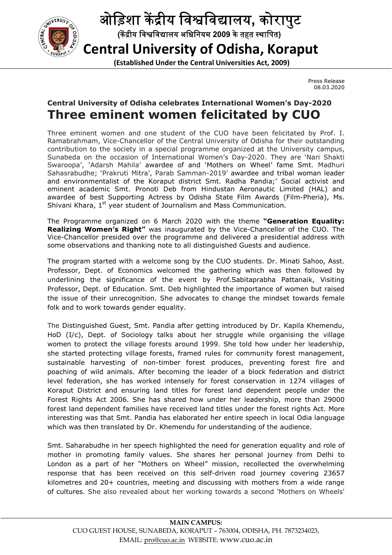

## ओिड़शा क ीय िविवालय**,** कोरापुट

 **(**क ीय िविवालय अिधिनयम **2009** केतहत थािपत**)**

## **Central University of Odisha, Koraput** Central University of Universities Act, 2009)

Press Release 08.03.2020

## **Central University of Odisha celebrates International Women's Day Odisha celebrates Day-2020 Three eminent women felicitate felicitated by CUO d**

Three eminent women and one student of the CUO have been felicitated by Prof. I. Ramabrahmam, Vice-Chancellor of the Central University of Odisha for their outstanding contribution to the society in a special programme organized at the University campus, Sunabeda on the occasion of International Women's Day Day-2020. They are Swaroopa', `Adarsh Mahila' awardee of and `Mothers on Wheel' fame Smt. Madhuri Sahasrabudhe; `Prakruti Mitra', Parab Samman-2019' awardee and tribal woman leader and environmentalist of the Koraput district Smt. Radha Pandia Pandia;' Social activist and eminent academic Smt. Pronoti Deb from Hindustan Aeronautic Limited (HAL) awardee of best Supporting Actress by Odisha State Film Awards (Film Awards (Film-Pheria), Ms. Shivani Khara, 1<sup>st</sup> year student of Journalism and Mass Communication. been felicitated by Prof. I.<br>Odisha for their outstanding<br>d at the University campus,<br>2020. They are 'Nari Shakti ribal woman leader<br>Social activist and<br>Limited (HAL) and

The Programme organized on 6 March 2020 with the theme **"Generation Equality: Realizing Women's Right"** was inaugurated by the Vice-Chancellor of the CUO. Vice-Chancellor presided over the programme and delivered a presidential address with some observations and thanking note to all distinguished Guests and audience. distinguished Guests Communication.<br>e theme "**Generation Equality:**<br>Vice-Chancellor of the CUO. The

The program started with a welcome song by the CUO students. Dr. Minati Sahoo, Asst. Professor, Dept. of Economics welcomed the gathering which was then followed by underlining the significance of the event by Prof.Sabitaprabha Pattanaik, Visiting Professor, Dept. of Education. Smt. Deb highlighted the importance of women but raised the issue of their unrecognition. She advocates to change the mindset towards female folk and to work towards gender equality. program started with a welcome song by the CUO students. Dr. Minati Sahoo, Asst.<br>essor, Dept. of Economics welcomed the gathering which was then followed by<br>erlining the significance of the event by Prof.Sabitaprabha Patta

The Distinguished Guest, Smt. Pandia after getting introduced by Dr. Kapila Khemendu, HoD (I/c), Dept. of Sociology talks about her struggle while organising the village women to protect the village forests around 1999. She told how under her leadership, she started protecting village forests, framed rules for community forest framed for management, sustainable harvesting of non-timber forest produces, preventing forest fire and sustainable harvesting of non-timber forest produces, preventing forest fire and<br>poaching of wild animals. After becoming the leader of a block federation and district level federation, she has worked intensely for forest conservation in 1274 villages of Koraput District and ensuring land titles for forest land dependent people under the level federation, she has worked intensely for forest conservation in 1274 villages of<br>Koraput District and ensuring land titles for forest land dependent people under the<br>Forest Rights Act 2006. She has shared how under h forest land dependent families have received land titles under the forest rights Act. More interesting was that Smt. Pandia has elaborated her entire speech in local O in local Odia language which was then translated by Dr. Khemendu for understanding of the audience. Press Release<br>
08.03.2020<br> **78 Day-2020**<br> **78 Day-2020**<br> **78 Day-2020**<br> **78 Day-2020**<br> **78 CUO**<br>
<br>
Their outstanding<br> *y* are 'Nari Shaktime Smt. Madhuri<br>
bal woman leader<br>
Social activist and<br>
(Film-Pheria), Ms.<br> **18 Pay-**

Smt. Saharabudhe in her speech highlighted the need for generation equality and role of mother in promoting family values. She shares her personal journey from Delhi to London as a part of her "Mothers on Wheel" mission, recollected the overwhelming response that has been received on this self-driven road journey covering 23657 kilometres and 20+ countries, meeting and discussing with mothers from a wide range of cultures. She also revealed about her working towards a second 'Mothers on Wheels' harabudhe in her speech highlighted the need for generation equality and role of<br>in promoting family values. She shares her personal journey from Delhi to<br>as a part of her "Mothers on Wheel" mission, recollected the overwh this self-driven road journey covering 23657<br>and discussing with mothers from a wide range<br>'working towards a second 'Mothers on Wheels'